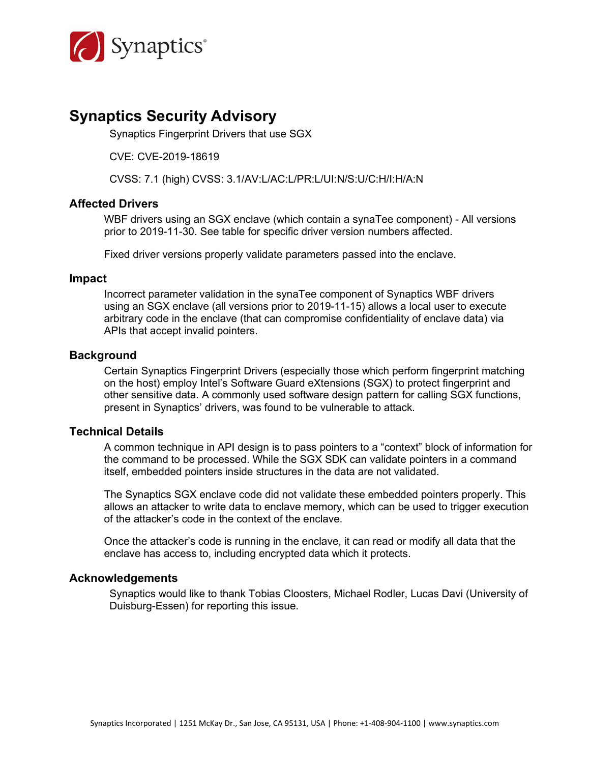

# **Synaptics Security Advisory**

Synaptics Fingerprint Drivers that use SGX

CVE: CVE-2019-18619

CVSS: 7.1 (high) CVSS: 3.1/AV:L/AC:L/PR:L/UI:N/S:U/C:H/I:H/A:N

#### **Affected Drivers**

WBF drivers using an SGX enclave (which contain a synaTee component) - All versions prior to 2019-11-30. See table for specific driver version numbers affected.

Fixed driver versions properly validate parameters passed into the enclave.

#### **Impact**

Incorrect parameter validation in the synaTee component of Synaptics WBF drivers using an SGX enclave (all versions prior to 2019-11-15) allows a local user to execute arbitrary code in the enclave (that can compromise confidentiality of enclave data) via APIs that accept invalid pointers.

#### **Background**

Certain Synaptics Fingerprint Drivers (especially those which perform fingerprint matching on the host) employ Intel's Software Guard eXtensions (SGX) to protect fingerprint and other sensitive data. A commonly used software design pattern for calling SGX functions, present in Synaptics' drivers, was found to be vulnerable to attack.

#### **Technical Details**

A common technique in API design is to pass pointers to a "context" block of information for the command to be processed. While the SGX SDK can validate pointers in a command itself, embedded pointers inside structures in the data are not validated.

The Synaptics SGX enclave code did not validate these embedded pointers properly. This allows an attacker to write data to enclave memory, which can be used to trigger execution of the attacker's code in the context of the enclave.

Once the attacker's code is running in the enclave, it can read or modify all data that the enclave has access to, including encrypted data which it protects.

#### **Acknowledgements**

Synaptics would like to thank Tobias Cloosters, Michael Rodler, Lucas Davi (University of Duisburg-Essen) for reporting this issue.